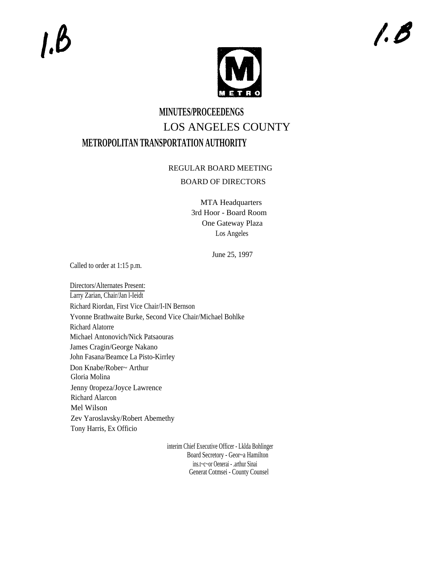# $1.b$



## **MINUTES/PROCEEDENGS** LOS ANGELES COUNTY **METROPOLITAN TRANSPORTATION AUTHORITY**

### REGULAR BOARD MEETING

#### BOARD OF DIRECTORS

MTA Headquarters 3rd Hoor - Board Room One Gateway Plaza Los Angeles

June 25, 1997

Called to order at 1:15 p.m.

Directors/Alternates Present: Larry Zarian, Chair/Jan l-Ieidt Richard Riordan, First Vice Chair/I-IN Bernson Yvonne Brathwaite Burke, Second Vice Chair/Michael Bohlke Richard Alatorre Michael Antonovich/Nick Patsaouras James Cragin/George Nakano John Fasana/Beamce La Pisto-Kirrley Don Knabe/Rober~ Arthur Gloria Molina Jenny 0ropeza/Joyce Lawrence Richard Alarcon Mel Wilson Zev Yaroslavsky/Robert Abemethy Tony Harris, Ex Officio

> interim Chief Executive Officer - Lklda Bohlinger Board Secretory - Geor~a Hamilton ins.t~c~or Oenerai - .arthur Sinai Generat Cotmsei - County Counsel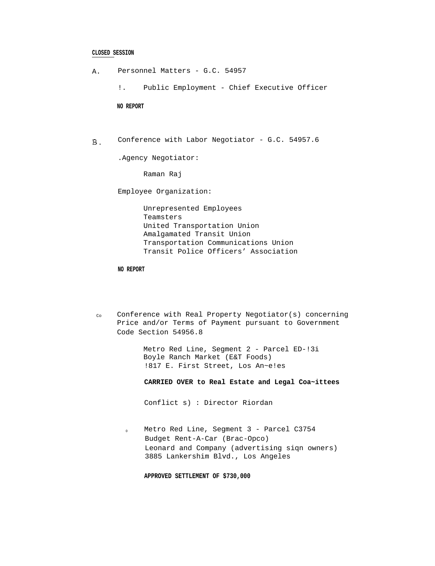#### **CLOSED SESSION**

```
A. Personnel Matters - G.C. 54957
```
!. Public Employment - Chief Executive Officer

**NO REPORT**

Conference with Labor Negotiator - G.C. 54957.6  $B<sub>1</sub>$ 

.Agency Negotiator:

Raman Raj

Employee Organization:

Unrepresented Employees Teamsters United Transportation Union Amalgamated Transit Union Transportation Communications Union Transit Police Officers' Association

**NO REPORT**

 $_{\rm co}$  Conference with Real Property Negotiator(s) concerning Price and/or Terms of Payment pursuant to Government Code Section 54956.8

> Metro Red Line, Segment 2 - Parcel ED-!3i Boyle Ranch Market (E&T Foods) !817 E. First Street, Los An~e!es

**CARRIED OVER to Real Estate and Legal Coa~ittees**

Conflict s) : Director Riordan

<sup>o</sup> Metro Red Line, Segment 3 - Parcel C3754 Budget Rent-A-Car (Brac-Opco) Leonard and Company (advertising siqn owners) 3885 Lankershim Blvd., Los Angeles

**APPROVED SETTLEMENT OF \$730,000**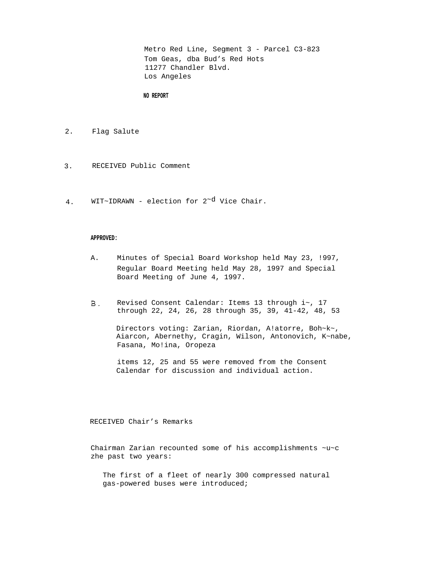Metro Red Line, Segment 3 - Parcel C3-823 Tom Geas, dba Bud's Red Hots 11277 Chandler Blvd. Los Angeles

**NO REPORT**

- 2. Flag Salute
- 3. RECEIVED Public Comment
- 4. WIT~IDRAWN election for  $2^{-d}$  Vice Chair.

#### **APPROVED:**

- A. Minutes of Special Board Workshop held May 23, !997, Regular Board Meeting held May 28, 1997 and Special Board Meeting of June 4, 1997.
- Revised Consent Calendar: Items 13 through i~, 17 B. through 22, 24, 26, 28 through 35, 39, 41-42, 48, 53

Directors voting: Zarian, Riordan, A!atorre, Boh~k~, Aiarcon, Abernethy, Cragin, Wilson, Antonovich, K~nabe, Fasana, Mo!ina, Oropeza

items 12, 25 and 55 were removed from the Consent Calendar for discussion and individual action.

RECEIVED Chair's Remarks

Chairman Zarian recounted some of his accomplishments ~u~c zhe past two years:

The first of a fleet of nearly 300 compressed natural gas-powered buses were introduced;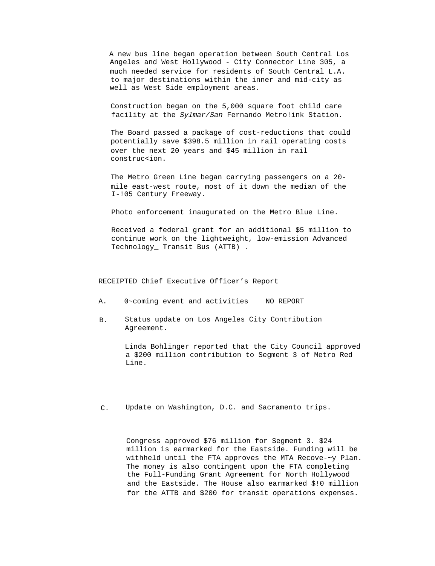A new bus line began operation between South Central Los Angeles and West Hollywood - City Connector Line 305, a much needed service for residents of South Central L.A. to major destinations within the inner and mid-city as well as West Side employment areas.

Construction began on the 5,000 square foot child care facility at the Sylmar/San Fernando Metro!ink Station.

The Board passed a package of cost-reductions that could potentially save \$398.5 million in rail operating costs over the next 20 years and \$45 million in rail construc<ion.

- The Metro Green Line began carrying passengers on a 20mile east-west route, most of it down the median of the I-!05 Century Freeway.
- Photo enforcement inaugurated on the Metro Blue Line.

Received a federal grant for an additional \$5 million to continue work on the lightweight, low-emission Advanced Technology\_ Transit Bus (ATTB) .

RECEIPTED Chief Executive Officer's Report

- A. 0~coming event and activities NO REPORT
- B. Status update on Los Angeles City Contribution Agreement.

Linda Bohlinger reported that the City Council approved a \$200 million contribution to Segment 3 of Metro Red Line.

C. Update on Washington, D.C. and Sacramento trips.

Congress approved \$76 million for Segment 3. \$24 million is earmarked for the Eastside. Funding will be withheld until the FTA approves the MTA Recove-~y Plan. The money is also contingent upon the FTA completing the Full-Funding Grant Agreement for North Hollywood and the Eastside. The House also earmarked \$!0 million for the ATTB and \$200 for transit operations expenses.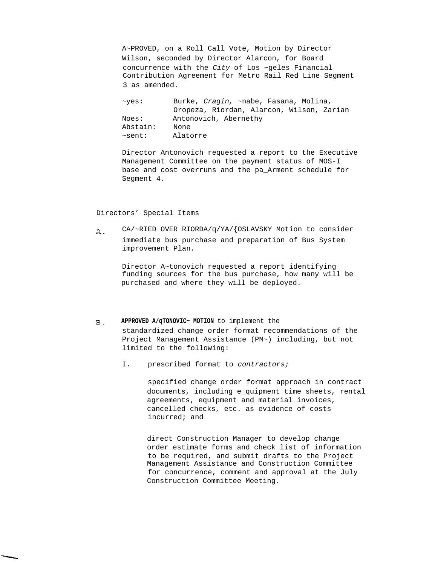A~PROVED, on a Roll Call Vote, Motion by Director Wilson, seconded by Director Alarcon, for Board concurrence with the City of Los ~geles Financial Contribution Agreement for Metro Rail Red Line Segment 3 as amended.

~yes: Noes: Abstain: ~sent: Burke, Cragin, ~nabe, Fasana, Molina, Oropeza, Riordan, Alarcon, Wilson, Zarian Antonovich, Abernethy None Alatorre

Director Antonovich requested a report to the Executive Management Committee on the payment status of MOS-I base and cost overruns and the pa\_Arment schedule for Segment 4.

#### Directors' Special Items

CA/~RIED OVER RIORDA/q/YA/{OSLAVSKY Motion to consider  $A$ . immediate bus purchase and preparation of Bus System improvement Plan.

Director A~tonovich requested a report identifying funding sources for the bus purchase, how many will be purchased and where they will be deployed.

#### $B.$ **APPROVED A/qTONOVIC~ MOTION** to implement the

standardized change order format recommendations of the Project Management Assistance (PM~) including, but not limited to the following:

I. prescribed format to contractors;

specified change order format approach in contract documents, including e\_quipment time sheets, rental agreements, equipment and material invoices, cancelled checks, etc. as evidence of costs incurred; and

direct Construction Manager to develop change order estimate forms and check list of information to be required, and submit drafts to the Project Management Assistance and Construction Committee for concurrence, comment and approval at the July Construction Committee Meeting.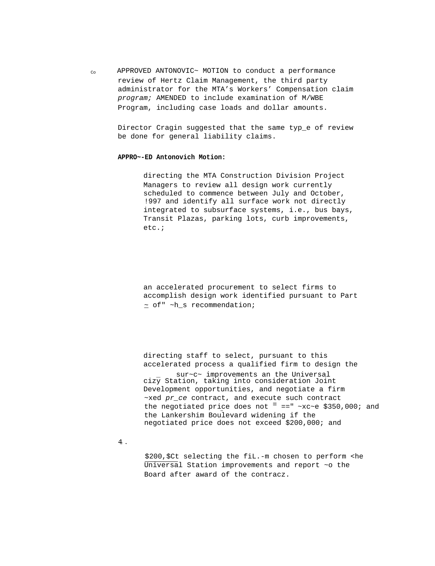co APPROVED ANTONOVIC~ MOTION to conduct a performance review of Hertz Claim Management, the third party administrator for the MTA's Workers' Compensation claim program; AMENDED to include examination of M/WBE Program, including case loads and dollar amounts.

> Director Cragin suggested that the same typ\_e of review be done for general liability claims.

#### **APPRO~-ED Antonovich Motion:**

directing the MTA Construction Division Project Managers to review all design work currently scheduled to commence between July and October, !997 and identify all surface work not directly integrated to subsurface systems, i.e., bus bays, Transit Plazas, parking lots, curb improvements, etc.;

an accelerated procurement to select firms to accomplish design work identified pursuant to Part ~ of" **\_** ~h\_s recommendation;

directing staff to select, pursuant to this accelerated process a qualified firm to design the

**\_** sur~c~ improvements an the Universal cizy Station, taking into consideration Joint Development opportunities, and negotiate a firm ~xed pr\_ce contract, and execute such contract the negotiated price does not  $=$   $=$  $=$ "  $\infty$ xc $\sim$ e \$350,000; and the Lankershim Boulevard widening if the negotiated price does not exceed \$200,000; and

 $4.$ 

\$200,\$Ct selecting the fiL.-m chosen to perform <he Universal Station improvements and report ~o the Board after award of the contracz.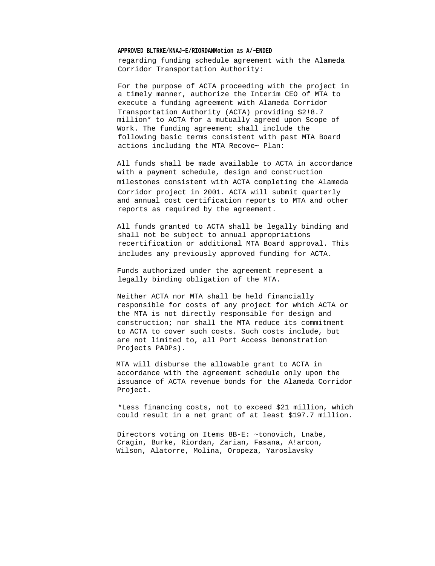#### **APPROVED BLTRKE/KNAJ~E/RIORDANMotion as A/~ENDED**

regarding funding schedule agreement with the Alameda Corridor Transportation Authority:

For the purpose of ACTA proceeding with the project in a timely manner, authorize the Interim CEO of MTA to execute a funding agreement with Alameda Corridor Transportation Authority (ACTA) providing \$2!8.7 million\* to ACTA for a mutually agreed upon Scope of Work. The funding agreement shall include the following basic terms consistent with past MTA Board actions including the MTA Recove~ Plan:

All funds shall be made available to ACTA in accordance with a payment schedule, design and construction milestones consistent with ACTA completing the Alameda Corridor project in 2001. ACTA will submit quarterly and annual cost certification reports to MTA and other reports as required by the agreement.

All funds granted to ACTA shall be legally binding and shall not be subject to annual appropriations recertification or additional MTA Board approval. This includes any previously approved funding for ACTA.

Funds authorized under the agreement represent a legally binding obligation of the MTA.

Neither ACTA nor MTA shall be held financially responsible for costs of any project for which ACTA or the MTA is not directly responsible for design and construction; nor shall the MTA reduce its commitment to ACTA to cover such costs. Such costs include, but are not limited to, all Port Access Demonstration Projects PADPs).

MTA will disburse the allowable grant to ACTA in accordance with the agreement schedule only upon the issuance of ACTA revenue bonds for the Alameda Corridor Project.

\*Less financing costs, not to exceed \$21 million, which could result in a net grant of at least \$197.7 million.

Directors voting on Items 8B-E: ~tonovich, Lnabe, Cragin, Burke, Riordan, Zarian, Fasana, A!arcon, Wilson, Alatorre, Molina, Oropeza, Yaroslavsky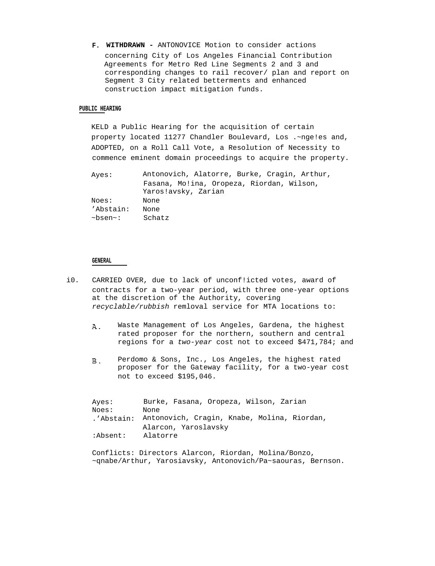**F. WITHDRAWN -** ANTONOVICE Motion to consider actions concerning City of Los Angeles Financial Contribution Agreements for Metro Red Line Segments 2 and 3 and corresponding changes to rail recover/ plan and report on Segment 3 City related betterments and enhanced construction impact mitigation funds.

#### **PUBLIC HEARING**

KELD a Public Hearing for the acquisition of certain property located 11277 Chandler Boulevard, Los .~nge!es and, ADOPTED, on a Roll Call Vote, a Resolution of Necessity to commence eminent domain proceedings to acquire the property.

Ayes: Antonovich, Alatorre, Burke, Cragin, Arthur, Fasana, Mo!ina, Oropeza, Riordan, Wilson, Yaros!avsky, Zarian Noes: None 'Abstain: None ~bsen~: Schatz

#### **GENERAL**

- i0. CARRIED OVER, due to lack of unconf!icted votes, award of contracts for a two-year period, with three one-year options at the discretion of the Authority, covering recyclable/rubbish remloval service for MTA locations to:
	- Waste Management of Los Angeles, Gardena, the highest Α. rated proposer for the northern, southern and central regions for a two-year cost not to exceed \$471,784; and
	- Perdomo & Sons, Inc., Los Angeles, the highest rated  $B.$ proposer for the Gateway facility, for a two-year cost not to exceed \$195,046.

| Ayes:      | Burke, Fasana, Oropeza, Wilson, Zarian      |
|------------|---------------------------------------------|
| Noes:      | None                                        |
| .'Abstain: | Antonovich, Cragin, Knabe, Molina, Riordan, |
|            | Alarcon, Yaroslavsky                        |
| :Absent:   | Alatorre                                    |

Conflicts: Directors Alarcon, Riordan, Molina/Bonzo, ~qnabe/Arthur, Yarosiavsky, Antonovich/Pa~saouras, Bernson.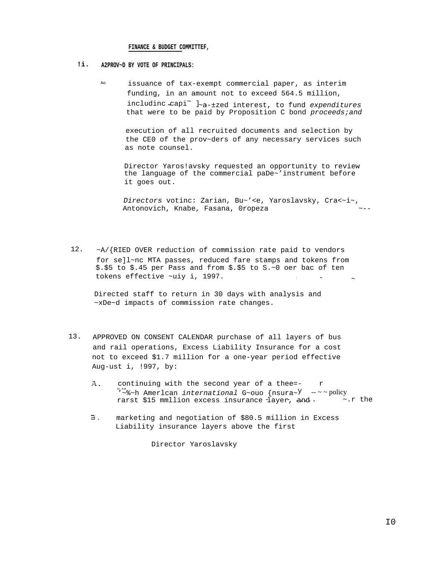#### **FINANCE & BUDGET COMMITTEF,**

#### **!i. A2PROV~D BY VOTE OF PRINCIPALS:**

Ao issuance of tax-exempt commercial paper, as interim funding, in an amount not to exceed 564.5 million, includinc capi<sup>~</sup>  $]_{\alpha a}$ -tzed interest, to fund expenditures that were to be paid by Proposition C bond proceeds; and

execution of all recruited documents and selection by the CE0 of the prov~ders of any necessary services such as note counsel.

Director Yaros!avsky requested an opportunity to review the language of the commercial paDe~'instrument before it goes out.

Directors votinc: Zarian, Bu~'<e, Yaroslavsky, Cra<~i~, Antonovich, Knabe, Fasana, Oropeza

12. ~A/{RIED OVER reduction of commission rate paid to vendors for se]l~nc MTA passes, reduced fare stamps and tokens from \$.\$5 to \$.45 per Pass and from \$.\$5 to S.~0 oer bac of ten tokens effective ~uiy i, 1997.  $\sim$   $\sim$   $\sim$ 

Directed staff to return in 30 days with analysis and ~xDe~d impacts of commission rate changes.

- 13. APPROVED ON CONSENT CALENDAR purchase of all layers of bus and rail operations, Excess Liability Insurance for a cost not to exceed \$1.7 million for a one-year period effective Aug-ust i, !997, by:
	- $\overline{A}$ . continuing with the second year of a thee=- r "."\*A American international G~ouo {nsura~Y --~~ policy<br>rarst \$15 mmllion excess insurance laver, and.  $\sim$ .r the rarst \$15 mmllion excess insurance layer, and .
	- marketing and negotiation of \$80.5 million in Excess  $B.$ Liability insurance layers above the first

Director Yaroslavsky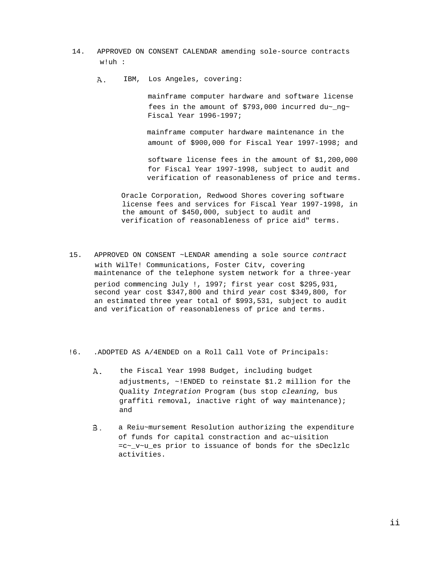- 14. APPROVED ON CONSENT CALENDAR amending sole-source contracts w!uh :
	- Α. IBM, Los Angeles, covering:

mainframe computer hardware and software license fees in the amount of \$793,000 incurred du~ ng~ Fiscal Year 1996-1997;

mainframe computer hardware maintenance in the amount of \$900,000 for Fiscal Year 1997-1998; and

software license fees in the amount of \$1,200,000 for Fiscal Year 1997-1998, subject to audit and verification of reasonableness of price and terms.

Oracle Corporation, Redwood Shores covering software license fees and services for Fiscal Year 1997-1998, in the amount of \$450,000, subject to audit and verification of reasonableness of price aid" terms.

- 15. APPROVED ON CONSENT ~LENDAR amending a sole source contract with WilTe! Communications, Foster Citv, covering maintenance of the telephone system network for a three-year period commencing July !, 1997; first year cost \$295,931, second year cost \$347,800 and third year cost \$349,800, for an estimated three year total of \$993,531, subject to audit and verification of reasonableness of price and terms.
- !6. .ADOPTED AS A/4ENDED on a Roll Call Vote of Principals:
	- the Fiscal Year 1998 Budget, including budget Α. adjustments, ~!ENDED to reinstate \$1.2 million for the Quality Integration Program (bus stop cleaning, bus graffiti removal, inactive right of way maintenance); and
	- **B**. a Reiu~mursement Resolution authorizing the expenditure of funds for capital constraction and ac~uisition =c~\_v~u\_es prior to issuance of bonds for the sDeclzlc activities.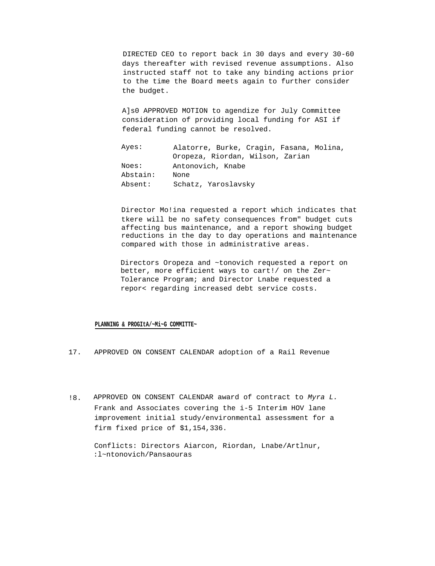DIRECTED CEO to report back in 30 days and every 30-60 days thereafter with revised revenue assumptions. Also instructed staff not to take any binding actions prior to the time the Board meets again to further consider the budget.

A]s0 APPROVED MOTION to agendize for July Committee consideration of providing local funding for ASI if federal funding cannot be resolved.

Ayes: Noes: Abstain: Absent: Alatorre, Burke, Cragin, Fasana, Molina, Oropeza, Riordan, Wilson, Zarian Antonovich, Knabe None Schatz, Yaroslavsky

Director Mo!ina requested a report which indicates that tkere will be no safety consequences from" budget cuts affecting bus maintenance, and a report showing budget reductions in the day to day operations and maintenance compared with those in administrative areas.

Directors Oropeza and ~tonovich requested a report on better, more efficient ways to cart!/ on the Zer~ Tolerance Program; and Director Lnabe requested a repor< regarding increased debt service costs.

#### **PLANNING & PROGItA/~Mi~G COMMITTE~**

- 17. APPROVED ON CONSENT CALENDAR adoption of a Rail Revenue
- !8. APPROVED ON CONSENT CALENDAR award of contract to Myra L. Frank and Associates covering the i-5 Interim HOV lane improvement initial study/environmental assessment for a firm fixed price of \$1,154,336.

Conflicts: Directors Aiarcon, Riordan, Lnabe/Artlnur, :l~ntonovich/Pansaouras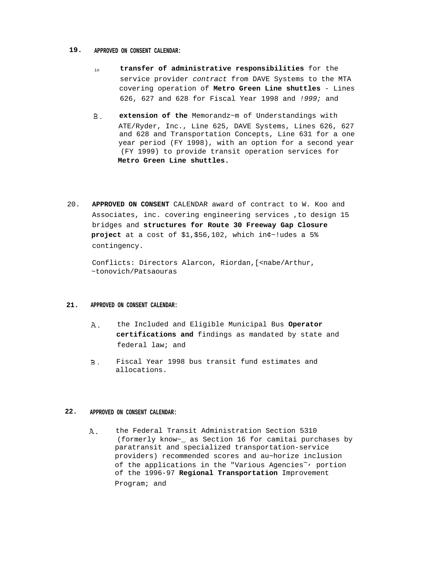#### **19. APPROVED ON CONSENT CALENDAR:**

- io **transfer of administrative responsibilities** for the service provider contract from DAVE Systems to the MTA covering operation of **Metro Green Line shuttles** - Lines 626, 627 and 628 for Fiscal Year 1998 and !999; and
- **extension of the** Memorandz~m of Understandings with Β. ATE/Ryder, Inc., Line 625, DAVE Systems, Lines 626, 627 and 628 and Transportation Concepts, Line 631 for a one year period (FY 1998), with an option for a second year (FY 1999) to provide transit operation services for **Metro Green Line shuttles.**
- 20. **APPROVED ON CONSENT** CALENDAR award of contract to W. Koo and Associates, inc. covering engineering services ,to design 15 bridges and **structures for Route 30 Freeway Gap Closure project** at a cost of \$1,\$56,102, which in¢~!udes a 5% contingency.

Conflicts: Directors Alarcon, Riordan, [<nabe/Arthur, ~tonovich/Patsaouras

#### **21. APPROVED ON CONSENT CALENDAR:**

- the Included and Eligible Municipal Bus **Operator**  $\mathbf{A}$ . **certifications and** findings as mandated by state and federal law; and
- Fiscal Year 1998 bus transit fund estimates and B. allocations.

#### **22. APPROVED ON CONSENT CALENDAR:**

the Federal Transit Administration Section 5310 Α. (formerly know~\_ as Section 16 for camitai purchases by paratransit and specialized transportation-service providers) recommended scores and au~horize inclusion of the applications in the "Various Agencies", portion of the 1996-97 **Regional Transportation** Improvement Program; and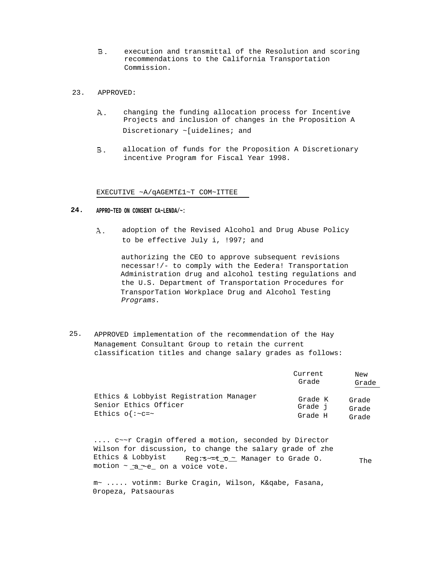- $B.$ execution and transmittal of the Resolution and scoring recommendations to the California Transportation Commission.
- 23. APPROVED:
	- changing the funding allocation process for Incentive Α. Projects and inclusion of changes in the Proposition A Discretionary ~[uidelines; and
	- $B.$ allocation of funds for the Proposition A Discretionary incentive Program for Fiscal Year 1998.

EXECUTIVE ~A/qAGEMT£1~T COM~ITTEE

#### **24. APPRO~TED ON CONSENT CA~LENDA/~:**

Α. adoption of the Revised Alcohol and Drug Abuse Policy to be effective July i, !997; and

authorizing the CEO to approve subsequent revisions necessar!/- to comply with the Eedera! Transportation Administration drug and alcohol testing regulations and the U.S. Department of Transportation Procedures for TransporTation Workplace Drug and Alcohol Testing Programs.

25. APPROVED implementation of the recommendation of the Hay Management Consultant Group to retain the current classification titles and change salary grades as follows:

|                                        | Current<br>Grade | New<br>Grade |
|----------------------------------------|------------------|--------------|
| Ethics & Lobbyist Registration Manager | Grade K          | Grade        |
| Senior Ethics Officer                  | Grade i          | Grade        |
| Ethics o $\cdot$ $\sim$ $\sim$ $\sim$  | Grade H          | Grade        |

.... c~~r Cragin offered a motion, seconded by Director Wilson for discussion, to change the salary grade of zhe Ethics & Lobbyist Reg:  $s \sim t_0$  Manager to Grade 0. The motion  $\sim$   $\alpha \sim e$  on a voice vote.

m~ ..... votinm: Burke Cragin, Wilson, K&qabe, Fasana, 0ropeza, Patsaouras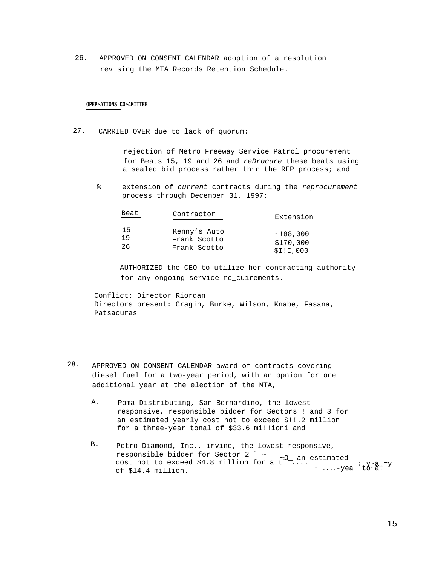26. APPROVED ON CONSENT CALENDAR adoption of a resolution revising the MTA Records Retention Schedule.

#### **OPEP~ATIONS CO~4MITTEE**

27. CARRIED OVER due to lack of quorum:

rejection of Metro Freeway Service Patrol procurement for Beats 15, 19 and 26 and reDrocure these beats using a sealed bid process rather th~n the RFP process; and

 $B_{\perp}$ extension of current contracts during the reprocurement process through December 31, 1997:

| Beat | Contractor   | Extension       |
|------|--------------|-----------------|
| 15   | Kenny's Auto | $\sim$ ! 08,000 |
| 19   | Frank Scotto | \$170,000       |
| 26   | Frank Scotto | \$I/I,000       |

AUTHORIZED the CEO to utilize her contracting authority for any ongoing service re\_cuirements.

Conflict: Director Riordan Directors present: Cragin, Burke, Wilson, Knabe, Fasana, Patsaouras

- 28. APPROVED ON CONSENT CALENDAR award of contracts covering diesel fuel for a two-year period, with an opnion for one additional year at the election of the MTA,
	- A. Poma Distributing, San Bernardino, the lowest responsive, responsible bidder for Sectors ! and 3 for an estimated yearly cost not to exceed S!!.2 million for a three-year tonal of \$33.6 mi!!ioni and
	- B. Petro-Diamond, Inc., irvine, the lowest responsive, responsible\_bidder for Sector 2 ~ ~ responsible bluder for sector  $\sim$   $\sim$   $\sim$   $\sim$   $\sim$  an estimated cost not to exceed \$4.8 million for a  $t^{\infty}$ ... of \$14.4 million.  $\sim$  ....-yea\_ to~at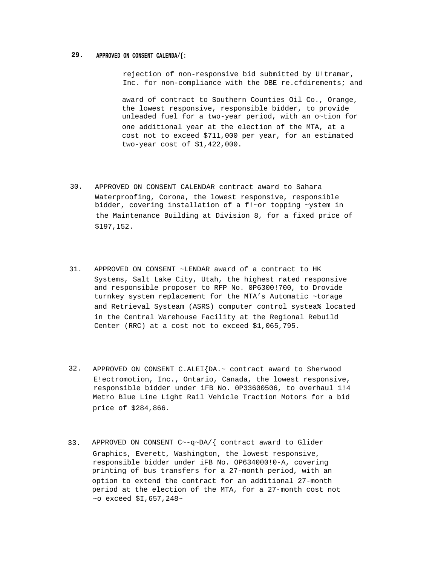#### **29. APPROVED ON CONSENT CALENDA/{:**

rejection of non-responsive bid submitted by U!tramar, Inc. for non-compliance with the DBE re.cfdirements; and

award of contract to Southern Counties Oil Co., Orange, the lowest responsive, responsible bidder, to provide unleaded fuel for a two-year period, with an o~tion for one additional year at the election of the MTA, at a cost not to exceed \$711,000 per year, for an estimated two-year cost of \$1,422,000.

- 30. APPROVED ON CONSENT CALENDAR contract award to Sahara Waterproofing, Corona, the lowest responsive, responsible bidder, covering installation of a f!~or topping ~ystem in the Maintenance Building at Division 8, for a fixed price of \$197,152.
- 31. APPROVED ON CONSENT ~LENDAR award of a contract to HK Systems, Salt Lake City, Utah, the highest rated responsive and responsible proposer to RFP No. 0P6300!700, to Drovide turnkey system replacement for the MTA's Automatic ~torage and Retrieval Systeam (ASRS) computer control systea% located in the Central Warehouse Facility at the Regional Rebuild Center (RRC) at a cost not to exceed \$1,065,795.
- 32. APPROVED ON CONSENT C.ALEI{DA.~ contract award to Sherwood E!ectromotion, Inc., Ontario, Canada, the lowest responsive, responsible bidder under iFB No. 0P33600506, to overhaul 1!4 Metro Blue Line Light Rail Vehicle Traction Motors for a bid price of \$284,866.
- 33. APPROVED ON CONSENT  $C \sim -q \sim DA / \{\text{contract award to Gilder}}$ Graphics, Everett, Washington, the lowest responsive, responsible bidder under iFB No. OP634000!0-A, covering printing of bus transfers for a 27-month period, with an option to extend the contract for an additional 27-month period at the election of the MTA, for a 27-month cost not ~o exceed \$I,657,248~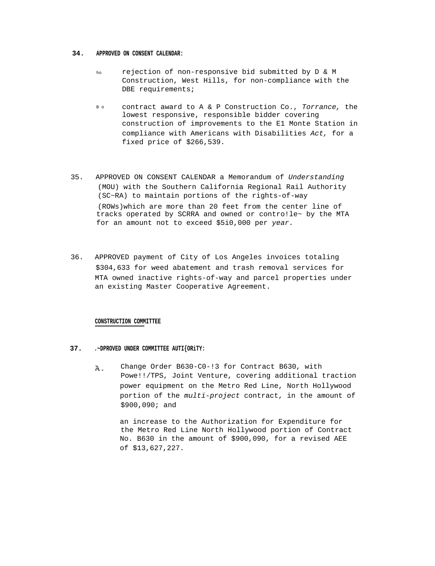#### **34. APPROVED ON CONSENT CALENDAR:**

- ho rejection of non-responsive bid submitted by D & M Construction, West Hills, for non-compliance with the DBE requirements;
- Bo contract award to A & P Construction Co., Torrance, the lowest responsive, responsible bidder covering construction of improvements to the E1 Monte Station in compliance with Americans with Disabilities Act, for a fixed price of \$266,539.
- 35. APPROVED ON CONSENT CALENDAR a Memorandum of Understanding (MOU) with the Southern California Regional Rail Authority (SC~RA) to maintain portions of the rights-of-way (ROWs)which are more than 20 feet from the center line of tracks operated by SCRRA and owned or contro!le~ by the MTA for an amount not to exceed \$5i0,000 per year.
- 36. APPROVED payment of City of Los Angeles invoices totaling \$304,633 for weed abatement and trash removal services for MTA owned inactive rights-of-way and parcel properties under an existing Master Cooperative Agreement.

#### **CONSTRUCTION COMMITTEE**

#### **37. .~DPROVED UNDER COMMITTEE AUTI{ORiTY:**

Change Order B630-C0-!3 for Contract B630, with  $A$ . Powe!!/TPS, Joint Venture, covering additional traction power equipment on the Metro Red Line, North Hollywood portion of the multi-project contract, in the amount of \$900,090; and

an increase to the Authorization for Expenditure for the Metro Red Line North Hollywood portion of Contract No. B630 in the amount of \$900,090, for a revised AEE of \$13,627,227.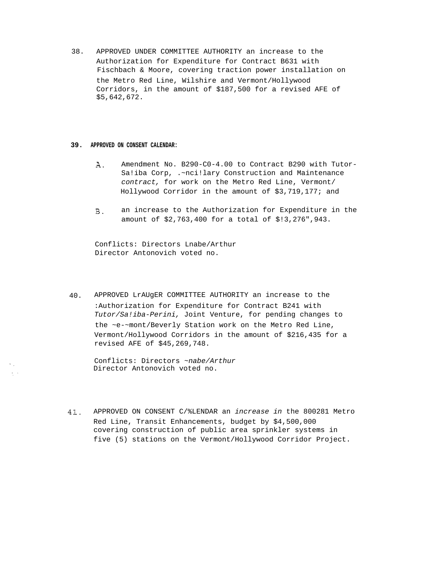38. APPROVED UNDER COMMITTEE AUTHORITY an increase to the Authorization for Expenditure for Contract B631 with Fischbach & Moore, covering traction power installation on the Metro Red Line, Wilshire and Vermont/Hollywood Corridors, in the amount of \$187,500 for a revised AFE of \$5,642,672.

#### **39. APPROVED ON CONSENT CALENDAR:**

- Amendment No. B290-C0-4.00 to Contract B290 with Tutor- $\mathbf{A}$ . Sa!iba Corp, .~nci!lary Construction and Maintenance contract, for work on the Metro Red Line, Vermont/ Hollywood Corridor in the amount of \$3,719,177; and
- an increase to the Authorization for Expenditure in the В. amount of \$2,763,400 for a total of \$!3,276",943.

Conflicts: Directors Lnabe/Arthur Director Antonovich voted no.

40. APPROVED LrAUgER COMMITTEE AUTHORITY an increase to the :Authorization for Expenditure for Contract B241 with Tutor/Sa!iba-Perini, Joint Venture, for pending changes to the ~e-~mont/Beverly Station work on the Metro Red Line, Vermont/Hollywood Corridors in the amount of \$216,435 for a revised AFE of \$45,269,748.

Conflicts: Directors ~nabe/Arthur Director Antonovich voted no.

 $\sim$   $\sim$ 

 $41.$ APPROVED ON CONSENT C/%LENDAR an increase in the 800281 Metro Red Line, Transit Enhancements, budget by \$4,500,000 covering construction of public area sprinkler systems in five (5) stations on the Vermont/Hollywood Corridor Project.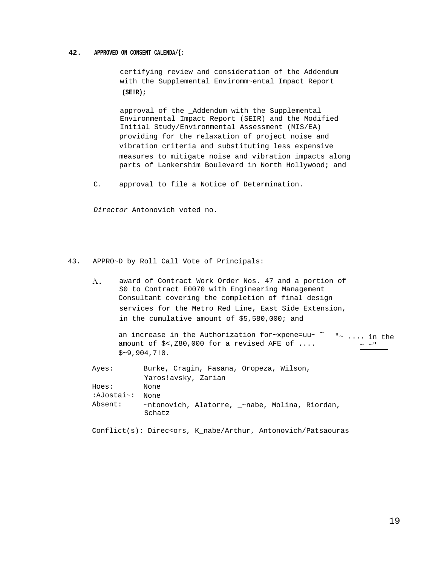#### **42. APPROVED ON CONSENT CALENDA/{:**

certifying review and consideration of the Addendum with the Supplemental Enviromm~ental Impact Report **(SE!R);**

approval of the \_Addendum with the Supplemental Environmental Impact Report (SEIR) and the Modified Initial Study/Environmental Assessment (MIS/EA) providing for the relaxation of project noise and vibration criteria and substituting less expensive measures to mitigate noise and vibration impacts along parts of Lankershim Boulevard in North Hollywood; and

C. approval to file a Notice of Determination.

Director Antonovich voted no.

#### 43. APPRO~D by Roll Call Vote of Principals:

Α. award of Contract Work Order Nos. 47 and a portion of S0 to Contract E0070 with Engineering Management Consultant covering the completion of final design services for the Metro Red Line, East Side Extension, in the cumulative amount of \$5,580,000; and

an increase in the Authorization for~xpene=uu~ ~ "~  $\cdots$  in the amount of  $\zeta$ <,Z80,000 for a revised AFE of ....  $\sim$  ~" \$~9,904,7!0.

| Ayes:      | Burke, Cragin, Fasana, Oropeza, Wilson,                 |
|------------|---------------------------------------------------------|
|            | Yaros!avsky, Zarian                                     |
| Hoes:      | None                                                    |
| :AJostai~: | None                                                    |
| Absent:    | ~ntonovich, Alatorre, ~nabe, Molina, Riordan,<br>Schatz |

Conflict(s): Direc<ors, K\_nabe/Arthur, Antonovich/Patsaouras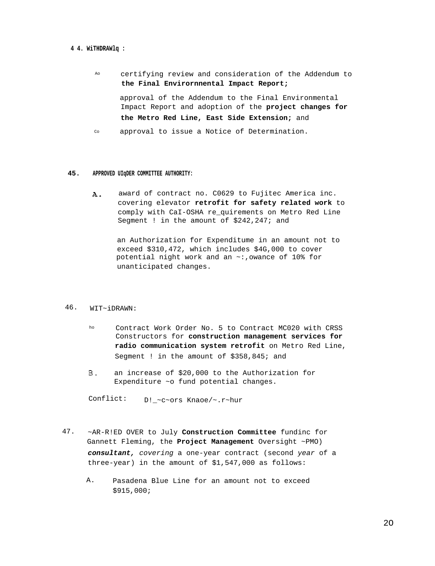#### **4 4. WiTHDRAWlq :**

Ao Co certifying review and consideration of the Addendum to **the Final Envirornnental Impact Report;** approval of the Addendum to the Final Environmental Impact Report and adoption of the **project changes for the Metro Red Line, East Side Extension;** and approval to issue a Notice of Determination.

#### **45. APPROVED UIqDER COMMITTEE AUTHORITY:**

award of contract no. C0629 to Fujitec America inc.  $A$ . covering elevator **retrofit for safety related work** to comply with CaI-OSHA re\_quirements on Metro Red Line Segment ! in the amount of \$242,247; and

an Authorization for Expenditume in an amount not to exceed \$310,472, which includes \$4G,000 to cover potential night work and an ~:,owance of 10% for unanticipated changes.

#### 46. WIT~iDRAWN:

- ho Contract Work Order No. 5 to Contract MC020 with CRSS Constructors for **construction management services for radio communication system retrofit** on Metro Red Line, Segment ! in the amount of \$358,845; and
- $B.$ an increase of \$20,000 to the Authorization for Expenditure ~o fund potential changes.

Conflict: D!\_~c~ors Knaoe/~.r~hur

- 47. ~AR-R!ED OVER to July **Construction Committee** fundinc for Gannett Fleming, the **Project Management** Oversight ~PMO) **consultant,** covering a one-year contract (second year of a three-year) in the amount of \$1,547,000 as follows:
	- A. Pasadena Blue Line for an amount not to exceed \$915,000;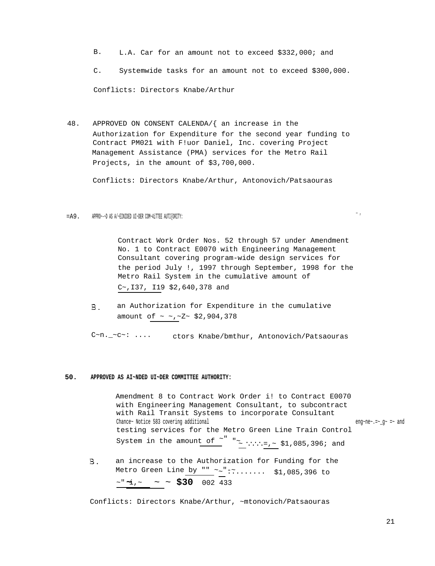- B. L.A. Car for an amount not to exceed \$332,000; and
- C. Systemwide tasks for an amount not to exceed \$300,000.

Conflicts: Directors Knabe/Arthur

48. APPROVED ON CONSENT CALENDA/{ an increase in the Authorization for Expenditure for the second year funding to Contract PM021 with F!uor Daniel, Inc. covering Project Management Assistance (PMA) services for the Metro Rail Projects, in the amount of \$3,700,000.

Conflicts: Directors Knabe/Arthur, Antonovich/Patsaouras

#### $=$ A9. APPRO~-~D AS A/~EINIDED UI~DER COM~4iTTEE AUTI{ORITY:

Contract Work Order Nos. 52 through 57 under Amendment No. 1 to Contract E0070 with Engineering Management Consultant covering program-wide design services for the period July !, 1997 through September, 1998 for the Metro Rail System in the cumulative amount of C~,I37, I19 \$2,640,378 and

an Authorization for Expenditure in the cumulative B. amount of ~ ~,~Z~ \$2,904,378

C~n.\_~c~: .... ctors Knabe/bmthur, Antonovich/Patsaouras

#### **50. APPROVED AS AI~NDED UI~DER COMMITTEE AUTHORITY:**

Amendment 8 to Contract Work Order i! to Contract E0070 with Engineering Management Consultant, to subcontract with Rail Transit Systems to incorporate Consultant Chance~ Notice 583 covering additional eng~ne~.=~\_g~ =~ and testing services for the Metro Green Line Train Control System in the amount of ~" "~ .... ~ ....=,~ \$1,085,396; and

an increase to the Authorization for Funding for the  $B.$ Metro Green Line by "" ~ "-~ ~ ......... \$1,085,396 to ~" i,~ **~** ~ ~ **\$30** 002 433

Conflicts: Directors Knabe/Arthur, ~mtonovich/Patsaouras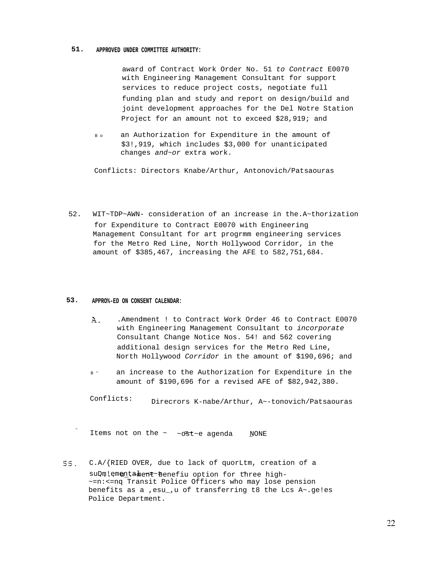#### **51. APPROVED UNDER COMMITTEE AUTHORITY:**

award of Contract Work Order No. 51 to Contract E0070 with Engineering Management Consultant for support services to reduce project costs, negotiate full funding plan and study and report on design/build and joint development approaches for the Del Notre Station Project for an amount not to exceed \$28,919; and

B o an Authorization for Expenditure in the amount of \$3!,919, which includes \$3,000 for unanticipated changes and~or extra work.

Conflicts: Directors Knabe/Arthur, Antonovich/Patsaouras

52. WIT~TDP~AWN- consideration of an increase in the.A~thorization for Expenditure to Contract E0070 with Engineering Management Consultant for art progrmm engineering services for the Metro Red Line, North Hollywood Corridor, in the amount of \$385,467, increasing the AFE to 582,751,684.

#### **53. APPRO%-ED ON CONSENT CALENDAR:**

- .Amendment ! to Contract Work Order 46 to Contract E0070 Α. with Engineering Management Consultant to *incorporate* Consultant Change Notice Nos. 54! and 562 covering additional design services for the Metro Red Line, North Hollywood Corridor in the amount of \$190,696; and
- $B^{\circ}$ an increase to the Authorization for Expenditure in the amount of \$190,696 for a revised AFE of \$82,942,380.

Conflicts: Direcrors K-nabe/Arthur, A~-tonovich/Patsaouras

Items not on the  $\sim$  ~ost~e agenda \_\_ NONE

C.A/{RIED OVER, due to lack of quorLtm, creation of a  $55.$ suDm!ementament~benefiu option for three high-~=n:<=nq Transit Police Officers who may lose pension benefits as a ,esu\_,u of transferring t8 the Lcs A~.ge!es Police Department.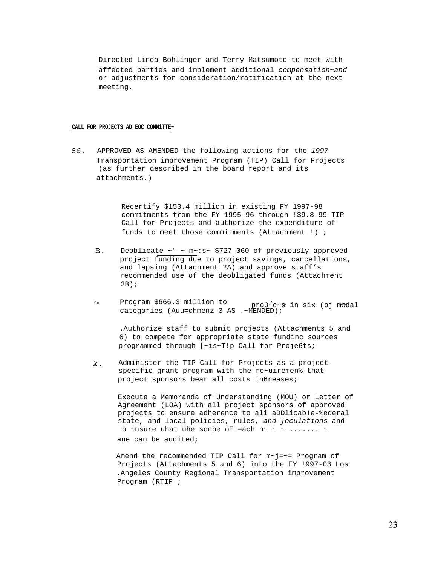Directed Linda Bohlinger and Terry Matsumoto to meet with affected parties and implement additional compensation~and or adjustments for consideration/ratification-at the next meeting.

#### **CALL FOR PROJECTS AD EOC COMMiTTE~**

56. APPROVED AS AMENDED the following actions for the 1997 Transportation improvement Program (TIP) Call for Projects (as further described in the board report and its attachments.)

> Recertify \$153.4 million in existing FY 1997-98 commitments from the FY 1995-96 through !\$9.8-99 TIP Call for Projects and authorize the expenditure of funds to meet those commitments (Attachment !) ;

- B. Deoblicate ~" ~ m~:s~ \$727 060 of previously approved project funding due to project savings, cancellations, and lapsing (Attachment 2A) and approve staff's recommended use of the deobligated funds (Attachment 2B);
- $C_{\Omega}$ Program \$666.3 million to pro3<sup>2</sup>e~s in six (oj modal categories (Auu=chmenz 3 AS .~MENDED);

.Authorize staff to submit projects (Attachments 5 and 6) to compete for appropriate state fundinc sources programmed through [~is~T!p Call for Proje6ts;

Administer the TIP Call for Projects as a project- $E$ . specific grant program with the re~uiremen% that project sponsors bear all costs in6reases;

> Execute a Memoranda of Understanding (MOU) or Letter of Agreement (LOA) with all project sponsors of approved projects to ensure adherence to ali aDDlicab!e-%ederal state, and local policies, rules, and-}eculations and o ~nsure uhat uhe scope oE =ach n~ ~ ~ ....... ~ ane can be audited;

Amend the recommended TIP Call for m~j=~= Program of Projects (Attachments 5 and 6) into the FY !997-03 Los .Angeles County Regional Transportation improvement Program (RTIP ;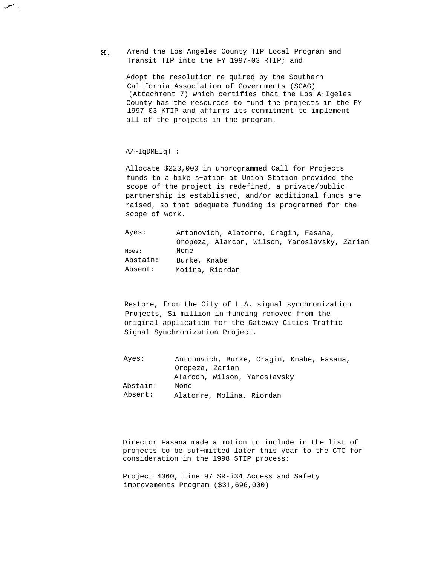Amend the Los Angeles County TIP Local Program and Н. Transit TIP into the FY 1997-03 RTIP; and

> Adopt the resolution re\_quired by the Southern California Association of Governments (SCAG) (Attachment 7) which certifies that the Los A~Igeles County has the resources to fund the projects in the FY 1997-03 KTIP and affirms its commitment to implement all of the projects in the program.

#### A/~IqDMEIqT :

والمتعقبين

Allocate \$223,000 in unprogrammed Call for Projects funds to a bike s~ation at Union Station provided the scope of the project is redefined, a private/public partnership is established, and/or additional funds are raised, so that adequate funding is programmed for the scope of work.

| Ayes:    | Antonovich, Alatorre, Cragin, Fasana,         |
|----------|-----------------------------------------------|
|          | Oropeza, Alarcon, Wilson, Yaroslavsky, Zarian |
| Noes:    | None                                          |
| Abstain: | Burke, Knabe                                  |
| Absent:  | Moiina, Riordan                               |

Restore, from the City of L.A. signal synchronization Projects, Si million in funding removed from the original application for the Gateway Cities Traffic Signal Synchronization Project.

| Ayes:    | Antonovich, Burke, Cragin, Knabe, Fasana, |  |  |
|----------|-------------------------------------------|--|--|
|          | Oropeza, Zarian                           |  |  |
|          | Alarcon, Wilson, Yaroslavsky              |  |  |
| Abstain: | None                                      |  |  |
| Absent:  | Alatorre, Molina, Riordan                 |  |  |

Director Fasana made a motion to include in the list of projects to be suf~mitted later this year to the CTC for consideration in the 1998 STIP process:

Project 4360, Line 97 SR-i34 Access and Safety improvements Program (\$3!,696,000)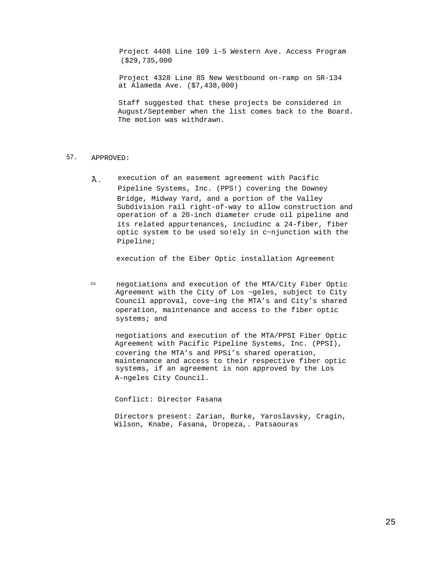Project 4408 Line 109 i-5 Western Ave. Access Program (\$29,735,000

Project 4328 Line 85 New Westbound on-ramp on SR-134 at Alameda Ave. (\$7,438,000)

Staff suggested that these projects be considered in August/September when the list comes back to the Board. The motion was withdrawn.

#### 57. APPROVED:

execution of an easement agreement with Pacific Α. Pipeline Systems, Inc. (PPS!) covering the Downey Bridge, Midway Yard, and a portion of the Valley Subdivision rail right-of-way to allow construction and operation of a 20-inch diameter crude oil pipeline and its related appurtenances, inciudinc a 24-fiber, fiber optic system to be used so!ely in c~njunction with the Pipeline;

execution of the Eiber Optic installation Agreement

Co negotiations and execution of the MTA/City Fiber Optic Agreement with the City of Los ~geles, subject to City Council approval, cove~ing the MTA's and City's shared operation, maintenance and access to the fiber optic systems; and

negotiations and execution of the MTA/PPSI Fiber Optic Agreement with Pacific Pipeline Systems, Inc. (PPSI), covering the MTA's and PPSi's shared operation, maintenance and access to their respective fiber optic systems, if an agreement is non approved by the Los A-ngeles City Council.

Conflict: Director Fasana

Directors present: Zarian, Burke, Yaroslavsky, Cragin, Wilson, Knabe, Fasana, Oropeza,. Patsaouras